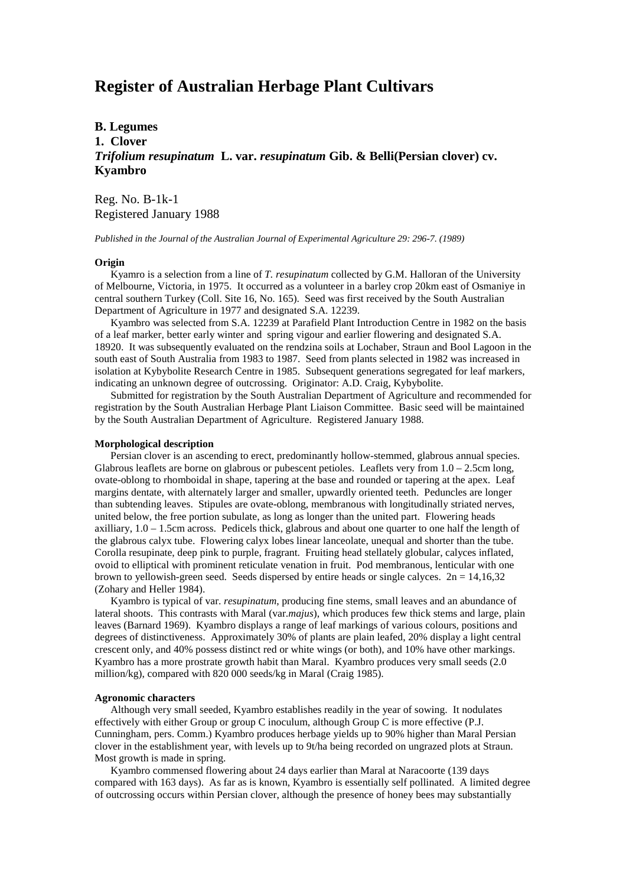# **Register of Australian Herbage Plant Cultivars**

## **B. Legumes 1. Clover** *Trifolium resupinatum* **L. var.** *resupinatum* **Gib. & Belli(Persian clover) cv. Kyambro**

Reg. No. B-1k-1 Registered January 1988

*Published in the Journal of the Australian Journal of Experimental Agriculture 29: 296-7. (1989)*

### **Origin**

 Kyamro is a selection from a line of *T. resupinatum* collected by G.M. Halloran of the University of Melbourne, Victoria, in 1975. It occurred as a volunteer in a barley crop 20km east of Osmaniye in central southern Turkey (Coll. Site 16, No. 165). Seed was first received by the South Australian Department of Agriculture in 1977 and designated S.A. 12239.

 Kyambro was selected from S.A. 12239 at Parafield Plant Introduction Centre in 1982 on the basis of a leaf marker, better early winter and spring vigour and earlier flowering and designated S.A. 18920. It was subsequently evaluated on the rendzina soils at Lochaber, Straun and Bool Lagoon in the south east of South Australia from 1983 to 1987. Seed from plants selected in 1982 was increased in isolation at Kybybolite Research Centre in 1985. Subsequent generations segregated for leaf markers, indicating an unknown degree of outcrossing. Originator: A.D. Craig, Kybybolite.

 Submitted for registration by the South Australian Department of Agriculture and recommended for registration by the South Australian Herbage Plant Liaison Committee. Basic seed will be maintained by the South Australian Department of Agriculture. Registered January 1988.

## **Morphological description**

Persian clover is an ascending to erect, predominantly hollow-stemmed, glabrous annual species. Glabrous leaflets are borne on glabrous or pubescent petioles. Leaflets very from 1.0 – 2.5cm long, ovate-oblong to rhomboidal in shape, tapering at the base and rounded or tapering at the apex. Leaf margins dentate, with alternately larger and smaller, upwardly oriented teeth. Peduncles are longer than subtending leaves. Stipules are ovate-oblong, membranous with longitudinally striated nerves, united below, the free portion subulate, as long as longer than the united part. Flowering heads axilliary,  $1.0 - 1.5$ cm across. Pedicels thick, glabrous and about one quarter to one half the length of the glabrous calyx tube. Flowering calyx lobes linear lanceolate, unequal and shorter than the tube. Corolla resupinate, deep pink to purple, fragrant. Fruiting head stellately globular, calyces inflated, ovoid to elliptical with prominent reticulate venation in fruit. Pod membranous, lenticular with one brown to yellowish-green seed. Seeds dispersed by entire heads or single calyces.  $2n = 14,16,32$ (Zohary and Heller 1984).

 Kyambro is typical of var. *resupinatum*, producing fine stems, small leaves and an abundance of lateral shoots. This contrasts with Maral (var.*majus*), which produces few thick stems and large, plain leaves (Barnard 1969). Kyambro displays a range of leaf markings of various colours, positions and degrees of distinctiveness. Approximately 30% of plants are plain leafed, 20% display a light central crescent only, and 40% possess distinct red or white wings (or both), and 10% have other markings. Kyambro has a more prostrate growth habit than Maral. Kyambro produces very small seeds (2.0 million/kg), compared with 820 000 seeds/kg in Maral (Craig 1985).

## **Agronomic characters**

 Although very small seeded, Kyambro establishes readily in the year of sowing. It nodulates effectively with either Group or group C inoculum, although Group C is more effective (P.J. Cunningham, pers. Comm.) Kyambro produces herbage yields up to 90% higher than Maral Persian clover in the establishment year, with levels up to 9t/ha being recorded on ungrazed plots at Straun. Most growth is made in spring.

 Kyambro commensed flowering about 24 days earlier than Maral at Naracoorte (139 days compared with 163 days). As far as is known, Kyambro is essentially self pollinated. A limited degree of outcrossing occurs within Persian clover, although the presence of honey bees may substantially